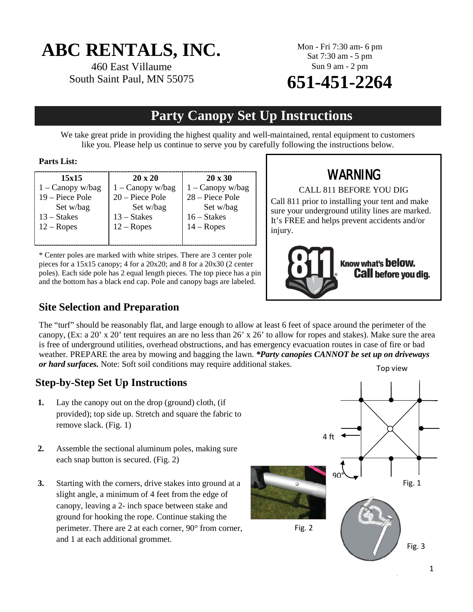# **ABC RENTALS, INC.**

460 East Villaume South Saint Paul, MN 55075 Mon - Fri 7:30 am- 6 pm Sat 7:30 am - 5 pm Sun 9 am - 2 pm

# **651-451-2264**

## **Party Canopy Set Up Instructions**

We take great pride in providing the highest quality and well-maintained, rental equipment to customers like you. Please help us continue to serve you by carefully following the instructions below.

#### **Parts List:**

| 15x15              | $20 \times 20$     | $20 \times 30$     |
|--------------------|--------------------|--------------------|
| $1 -$ Canopy w/bag | $1 -$ Canopy w/bag | $1 -$ Canopy w/bag |
| 19 – Piece Pole    | $20 -$ Piece Pole  | 28 – Piece Pole    |
| Set w/bag          | Set w/bag          | Set w/bag          |
| $13 - States$      | 13 – Stakes        | $16 - States$      |
| $12 - Ropes$       | $12 - Ropes$       | $14 - Ropes$       |
|                    |                    |                    |

\* Center poles are marked with white stripes. There are 3 center pole pieces for a 15x15 canopy; 4 for a 20x20; and 8 for a 20x30 (2 center poles). Each side pole has 2 equal length pieces. The top piece has a pin and the bottom has a black end cap. Pole and canopy bags are labeled.

## WARNING

CALL 811 BEFORE YOU DIG

Call 811 prior to installing your tent and make sure your underground utility lines are marked. It's FREE and helps prevent accidents and/or injury.



### **Site Selection and Preparation**

The "turf" should be reasonably flat, and large enough to allow at least 6 feet of space around the perimeter of the canopy, (Ex: a 20' x 20' tent requires an are no less than 26' x 26' to allow for ropes and stakes). Make sure the area is free of underground utilities, overhead obstructions, and has emergency evacuation routes in case of fire or bad weather. PREPARE the area by mowing and bagging the lawn. *\*Party canopies CANNOT be set up on driveways or hard surfaces.* Note: Soft soil conditions may require additional stakes. Top view

## **Step-by-Step Set Up Instructions**

- **1.** Lay the canopy out on the drop (ground) cloth, (if provided); top side up. Stretch and square the fabric to remove slack. (Fig. 1)
- **2.** Assemble the sectional aluminum poles, making sure each snap button is secured. (Fig. 2)
- **3.** Starting with the corners, drive stakes into ground at a slight angle, a minimum of 4 feet from the edge of canopy, leaving a 2- inch space between stake and ground for hooking the rope. Continue staking the perimeter. There are 2 at each corner, 90° from corner, and 1 at each additional grommet.